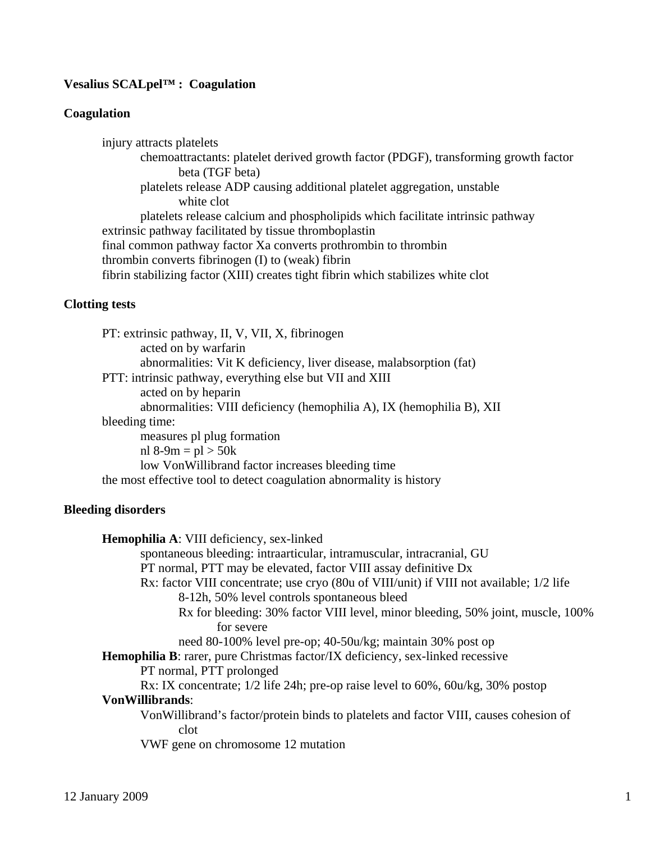# **Vesalius SCALpel™ : Coagulation**

## **Coagulation**

injury attracts platelets chemoattractants: platelet derived growth factor (PDGF), transforming growth factor beta (TGF beta) platelets release ADP causing additional platelet aggregation, unstable white clot platelets release calcium and phospholipids which facilitate intrinsic pathway extrinsic pathway facilitated by tissue thromboplastin final common pathway factor Xa converts prothrombin to thrombin thrombin converts fibrinogen (I) to (weak) fibrin fibrin stabilizing factor (XIII) creates tight fibrin which stabilizes white clot

# **Clotting tests**

| PT: extrinsic pathway, II, V, VII, X, fibrinogen                      |  |  |
|-----------------------------------------------------------------------|--|--|
| acted on by warfarin                                                  |  |  |
| abnormalities: Vit K deficiency, liver disease, malabsorption (fat)   |  |  |
| PTT: intrinsic pathway, everything else but VII and XIII              |  |  |
| acted on by heparin                                                   |  |  |
| abnormalities: VIII deficiency (hemophilia A), IX (hemophilia B), XII |  |  |
| bleeding time:                                                        |  |  |
| measures pl plug formation                                            |  |  |
| nl 8-9m = $pl > 50k$                                                  |  |  |
| low Von Willibrand factor increases bleeding time                     |  |  |
| the most effective tool to detect coagulation abnormality is history  |  |  |

## **Bleeding disorders**

| Hemophilia A: VIII deficiency, sex-linked                                                     |  |  |
|-----------------------------------------------------------------------------------------------|--|--|
| spontaneous bleeding: intraarticular, intramuscular, intracranial, GU                         |  |  |
| PT normal, PTT may be elevated, factor VIII assay definitive Dx                               |  |  |
| Rx: factor VIII concentrate; use cryo (80u of VIII/unit) if VIII not available; 1/2 life      |  |  |
| 8-12h, 50% level controls spontaneous bleed                                                   |  |  |
| Rx for bleeding: 30% factor VIII level, minor bleeding, 50% joint, muscle, 100%               |  |  |
| for severe                                                                                    |  |  |
| need 80-100% level pre-op; 40-50u/kg; maintain 30% post op                                    |  |  |
| Hemophilia B: rarer, pure Christmas factor/IX deficiency, sex-linked recessive                |  |  |
| PT normal, PTT prolonged                                                                      |  |  |
| Rx: IX concentrate; $1/2$ life 24h; pre-op raise level to 60%, $60u/kg$ , 30% postop          |  |  |
| <b>VonWillibrands:</b>                                                                        |  |  |
| VonWillibrand's factor/protein binds to platelets and factor VIII, causes cohesion of<br>clot |  |  |
| VWF gene on chromosome 12 mutation                                                            |  |  |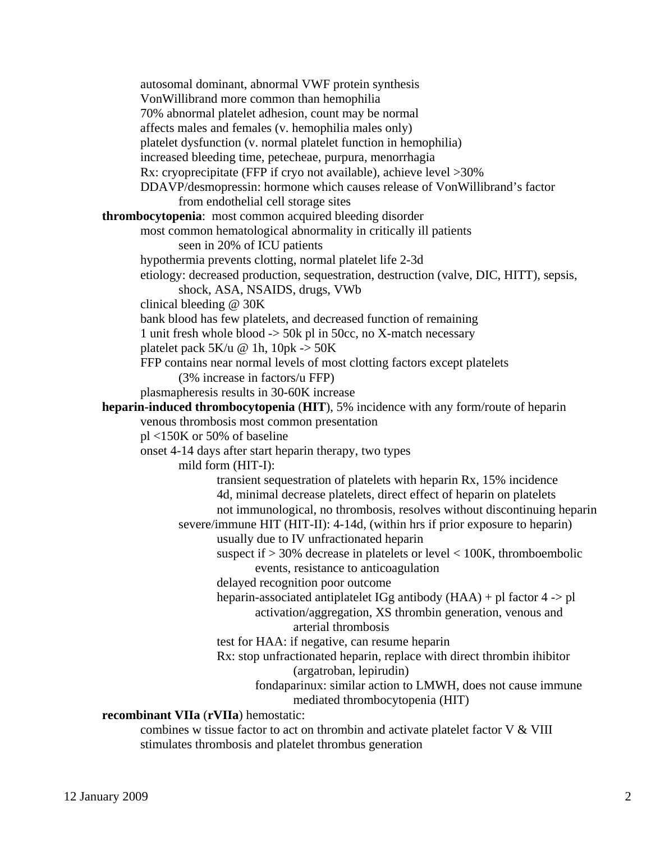autosomal dominant, abnormal VWF protein synthesis VonWillibrand more common than hemophilia 70% abnormal platelet adhesion, count may be normal affects males and females (v. hemophilia males only) platelet dysfunction (v. normal platelet function in hemophilia) increased bleeding time, petecheae, purpura, menorrhagia Rx: cryoprecipitate (FFP if cryo not available), achieve level >30% DDAVP/desmopressin: hormone which causes release of VonWillibrand's factor from endothelial cell storage sites **thrombocytopenia**: most common acquired bleeding disorder most common hematological abnormality in critically ill patients seen in 20% of ICU patients hypothermia prevents clotting, normal platelet life 2-3d etiology: decreased production, sequestration, destruction (valve, DIC, HITT), sepsis, shock, ASA, NSAIDS, drugs, VWb clinical bleeding @ 30K bank blood has few platelets, and decreased function of remaining 1 unit fresh whole blood -> 50k pl in 50cc, no X-match necessary platelet pack 5K/u @ 1h, 10pk -> 50K FFP contains near normal levels of most clotting factors except platelets (3% increase in factors/u FFP) plasmapheresis results in 30-60K increase **heparin-induced thrombocytopenia** (**HIT**), 5% incidence with any form/route of heparin venous thrombosis most common presentation pl <150K or 50% of baseline onset 4-14 days after start heparin therapy, two types mild form (HIT-I): transient sequestration of platelets with heparin Rx, 15% incidence 4d, minimal decrease platelets, direct effect of heparin on platelets not immunological, no thrombosis, resolves without discontinuing heparin severe/immune HIT (HIT-II): 4-14d, (within hrs if prior exposure to heparin) usually due to IV unfractionated heparin suspect if  $> 30\%$  decrease in platelets or level  $< 100K$ , thromboembolic events, resistance to anticoagulation delayed recognition poor outcome heparin-associated antiplatelet IGg antibody (HAA) + pl factor 4 -> pl activation/aggregation, XS thrombin generation, venous and arterial thrombosis test for HAA: if negative, can resume heparin Rx: stop unfractionated heparin, replace with direct thrombin ihibitor (argatroban, lepirudin) fondaparinux: similar action to LMWH, does not cause immune mediated thrombocytopenia (HIT) **recombinant VIIa** (**rVIIa**) hemostatic: combines w tissue factor to act on thrombin and activate platelet factor V & VIII stimulates thrombosis and platelet thrombus generation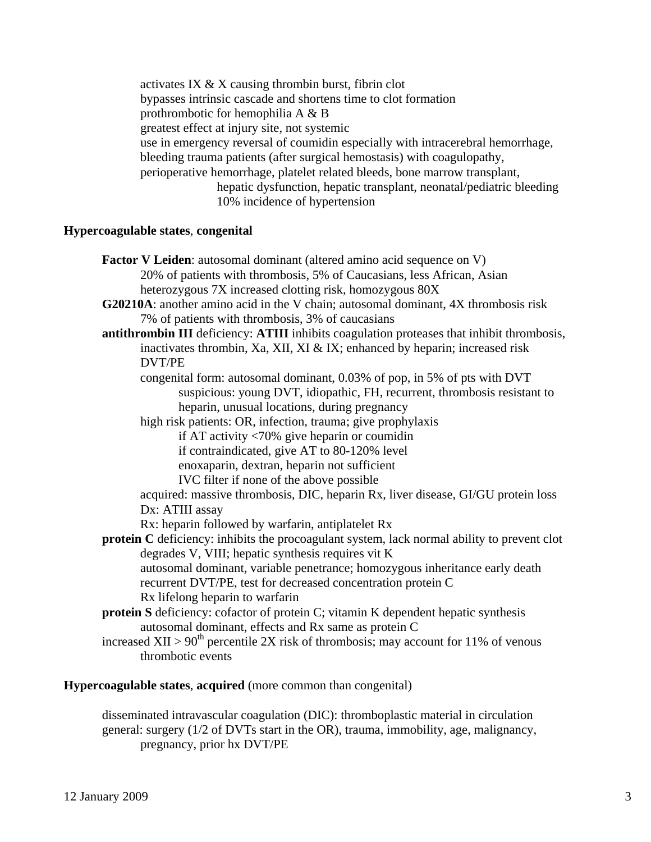activates IX & X causing thrombin burst, fibrin clot bypasses intrinsic cascade and shortens time to clot formation prothrombotic for hemophilia A & B greatest effect at injury site, not systemic use in emergency reversal of coumidin especially with intracerebral hemorrhage, bleeding trauma patients (after surgical hemostasis) with coagulopathy, perioperative hemorrhage, platelet related bleeds, bone marrow transplant, hepatic dysfunction, hepatic transplant, neonatal/pediatric bleeding 10% incidence of hypertension

### **Hypercoagulable states**, **congenital**

| <b>Factor V Leiden:</b> autosomal dominant (altered amino acid sequence on V)                    |
|--------------------------------------------------------------------------------------------------|
| 20% of patients with thrombosis, 5% of Caucasians, less African, Asian                           |
| heterozygous 7X increased clotting risk, homozygous 80X                                          |
| G20210A: another amino acid in the V chain; autosomal dominant, 4X thrombosis risk               |
| 7% of patients with thrombosis, 3% of caucasians                                                 |
| antithrombin III deficiency: ATIII inhibits coagulation proteases that inhibit thrombosis,       |
| inactivates thrombin, Xa, XII, XI & IX; enhanced by heparin; increased risk                      |
| DVT/PE                                                                                           |
| congenital form: autosomal dominant, 0.03% of pop, in 5% of pts with DVT                         |
| suspicious: young DVT, idiopathic, FH, recurrent, thrombosis resistant to                        |
| heparin, unusual locations, during pregnancy                                                     |
| high risk patients: OR, infection, trauma; give prophylaxis                                      |
| if AT activity $\langle 70\%$ give heparin or coumidin                                           |
| if contraindicated, give AT to 80-120% level                                                     |
| enoxaparin, dextran, heparin not sufficient                                                      |
| IVC filter if none of the above possible                                                         |
| acquired: massive thrombosis, DIC, heparin Rx, liver disease, GI/GU protein loss                 |
| Dx: ATIII assay                                                                                  |
| Rx: heparin followed by warfarin, antiplatelet Rx                                                |
| protein C deficiency: inhibits the procoagulant system, lack normal ability to prevent clot      |
| degrades V, VIII; hepatic synthesis requires vit K                                               |
| autosomal dominant, variable penetrance; homozygous inheritance early death                      |
| recurrent DVT/PE, test for decreased concentration protein C                                     |
| Rx lifelong heparin to warfarin                                                                  |
| protein S deficiency: cofactor of protein C; vitamin K dependent hepatic synthesis               |
| autosomal dominant, effects and Rx same as protein C                                             |
| increased XII > $90^{\text{th}}$ percentile 2X risk of thrombosis; may account for 11% of venous |
| thrombotic events                                                                                |

**Hypercoagulable states**, **acquired** (more common than congenital)

 disseminated intravascular coagulation (DIC): thromboplastic material in circulation general: surgery (1/2 of DVTs start in the OR), trauma, immobility, age, malignancy, pregnancy, prior hx DVT/PE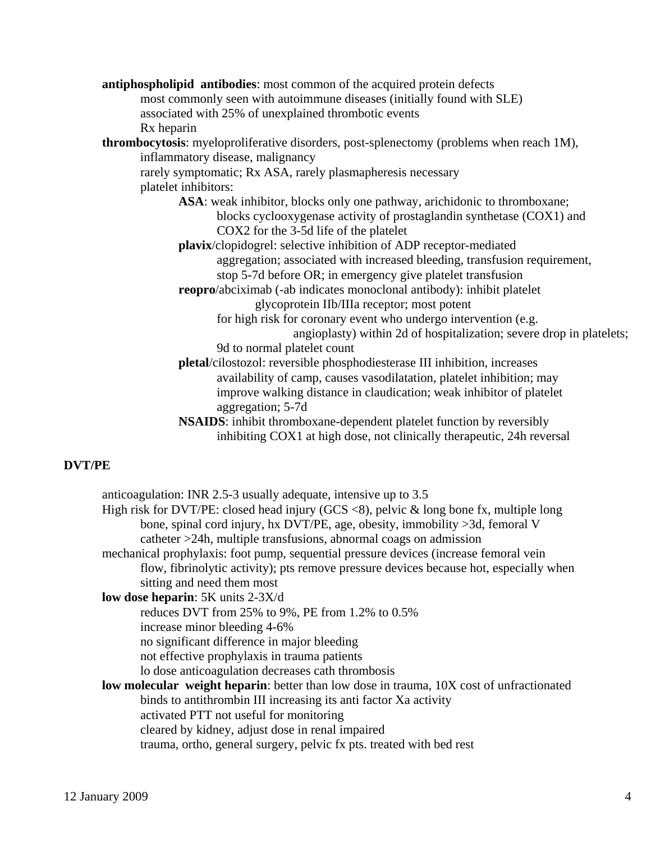**antiphospholipid antibodies**: most common of the acquired protein defects most commonly seen with autoimmune diseases (initially found with SLE) associated with 25% of unexplained thrombotic events Rx heparin **thrombocytosis**: myeloproliferative disorders, post-splenectomy (problems when reach 1M), inflammatory disease, malignancy rarely symptomatic; Rx ASA, rarely plasmapheresis necessary platelet inhibitors: ASA: weak inhibitor, blocks only one pathway, arichidonic to thromboxane; blocks cyclooxygenase activity of prostaglandin synthetase (COX1) and COX2 for the 3-5d life of the platelet **plavix**/clopidogrel: selective inhibition of ADP receptor-mediated aggregation; associated with increased bleeding, transfusion requirement, stop 5-7d before OR; in emergency give platelet transfusion **reopro**/abciximab (-ab indicates monoclonal antibody): inhibit platelet glycoprotein IIb/IIIa receptor; most potent for high risk for coronary event who undergo intervention (e.g. angioplasty) within 2d of hospitalization; severe drop in platelets; 9d to normal platelet count **pletal**/cilostozol: reversible phosphodiesterase III inhibition, increases availability of camp, causes vasodilatation, platelet inhibition; may improve walking distance in claudication; weak inhibitor of platelet aggregation; 5-7d **NSAIDS**: inhibit thromboxane-dependent platelet function by reversibly inhibiting COX1 at high dose, not clinically therapeutic, 24h reversal

## **DVT/PE**

 anticoagulation: INR 2.5-3 usually adequate, intensive up to 3.5 High risk for DVT/PE: closed head injury (GCS  $\langle 8 \rangle$ , pelvic & long bone fx, multiple long bone, spinal cord injury, hx DVT/PE, age, obesity, immobility >3d, femoral V catheter >24h, multiple transfusions, abnormal coags on admission mechanical prophylaxis: foot pump, sequential pressure devices (increase femoral vein flow, fibrinolytic activity); pts remove pressure devices because hot, especially when sitting and need them most **low dose heparin**: 5K units 2-3X/d reduces DVT from 25% to 9%, PE from 1.2% to 0.5% increase minor bleeding 4-6% no significant difference in major bleeding not effective prophylaxis in trauma patients lo dose anticoagulation decreases cath thrombosis **low molecular weight heparin**: better than low dose in trauma, 10X cost of unfractionated binds to antithrombin III increasing its anti factor Xa activity activated PTT not useful for monitoring cleared by kidney, adjust dose in renal impaired trauma, ortho, general surgery, pelvic fx pts. treated with bed rest